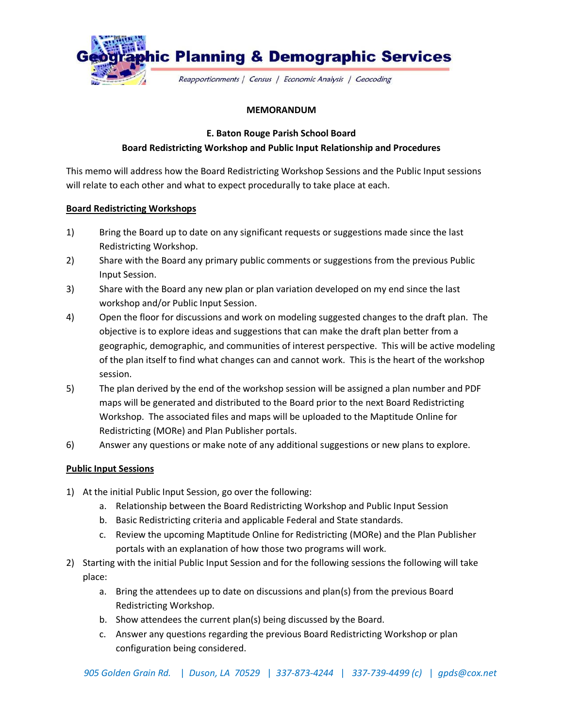

## **MEMORANDUM**

**E. Baton Rouge Parish School Board**

## **Board Redistricting Workshop and Public Input Relationship and Procedures**

This memo will address how the Board Redistricting Workshop Sessions and the Public Input sessions will relate to each other and what to expect procedurally to take place at each.

## **Board Redistricting Workshops**

- 1) Bring the Board up to date on any significant requests or suggestions made since the last Redistricting Workshop.
- 2) Share with the Board any primary public comments or suggestions from the previous Public Input Session.
- 3) Share with the Board any new plan or plan variation developed on my end since the last workshop and/or Public Input Session.
- 4) Open the floor for discussions and work on modeling suggested changes to the draft plan. The objective is to explore ideas and suggestions that can make the draft plan better from a geographic, demographic, and communities of interest perspective. This will be active modeling of the plan itself to find what changes can and cannot work. This is the heart of the workshop session.
- 5) The plan derived by the end of the workshop session will be assigned a plan number and PDF maps will be generated and distributed to the Board prior to the next Board Redistricting Workshop. The associated files and maps will be uploaded to the Maptitude Online for Redistricting (MORe) and Plan Publisher portals.
- 6) Answer any questions or make note of any additional suggestions or new plans to explore.

## **Public Input Sessions**

- 1) At the initial Public Input Session, go over the following:
	- a. Relationship between the Board Redistricting Workshop and Public Input Session
	- b. Basic Redistricting criteria and applicable Federal and State standards.
	- c. Review the upcoming Maptitude Online for Redistricting (MORe) and the Plan Publisher portals with an explanation of how those two programs will work.
- 2) Starting with the initial Public Input Session and for the following sessions the following will take place:
	- a. Bring the attendees up to date on discussions and plan(s) from the previous Board Redistricting Workshop.
	- b. Show attendees the current plan(s) being discussed by the Board.
	- c. Answer any questions regarding the previous Board Redistricting Workshop or plan configuration being considered.